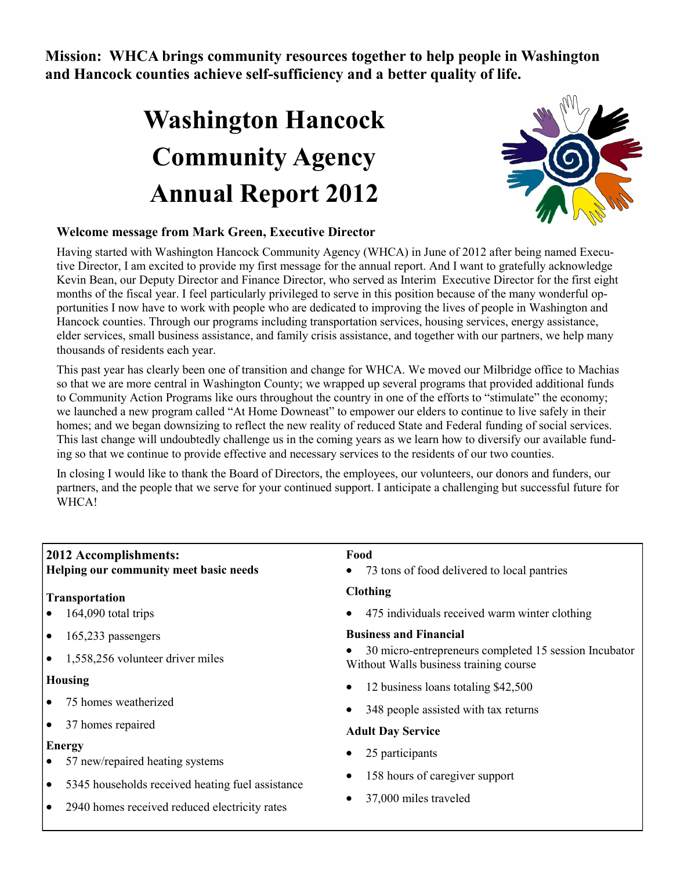**Mission: WHCA brings community resources together to help people in Washington and Hancock counties achieve self-sufficiency and a better quality of life.**

## **Washington Hancock Community Agency Annual Report 2012**



## **Welcome message from Mark Green, Executive Director**

Having started with Washington Hancock Community Agency (WHCA) in June of 2012 after being named Executive Director, I am excited to provide my first message for the annual report. And I want to gratefully acknowledge Kevin Bean, our Deputy Director and Finance Director, who served as Interim Executive Director for the first eight months of the fiscal year. I feel particularly privileged to serve in this position because of the many wonderful opportunities I now have to work with people who are dedicated to improving the lives of people in Washington and Hancock counties. Through our programs including transportation services, housing services, energy assistance, elder services, small business assistance, and family crisis assistance, and together with our partners, we help many thousands of residents each year.

This past year has clearly been one of transition and change for WHCA. We moved our Milbridge office to Machias so that we are more central in Washington County; we wrapped up several programs that provided additional funds to Community Action Programs like ours throughout the country in one of the efforts to "stimulate" the economy; we launched a new program called "At Home Downeast" to empower our elders to continue to live safely in their homes; and we began downsizing to reflect the new reality of reduced State and Federal funding of social services. This last change will undoubtedly challenge us in the coming years as we learn how to diversify our available funding so that we continue to provide effective and necessary services to the residents of our two counties.

In closing I would like to thank the Board of Directors, the employees, our volunteers, our donors and funders, our partners, and the people that we serve for your continued support. I anticipate a challenging but successful future for WHCA!

| <b>2012 Accomplishments:</b><br>Helping our community meet basic needs | Food<br>73 tons of food delivered to local pantries<br>$\bullet$                                |  |  |
|------------------------------------------------------------------------|-------------------------------------------------------------------------------------------------|--|--|
| Transportation                                                         | <b>Clothing</b>                                                                                 |  |  |
| 164,090 total trips<br>$\bullet$                                       | 475 individuals received warm winter clothing<br>$\bullet$                                      |  |  |
| 165,233 passengers<br>$\bullet$                                        | <b>Business and Financial</b>                                                                   |  |  |
| 1,558,256 volunteer driver miles<br>$\bullet$                          | 30 micro-entrepreneurs completed 15 session Incubator<br>Without Walls business training course |  |  |
| <b>Housing</b>                                                         | 12 business loans totaling \$42,500                                                             |  |  |
| 75 homes weatherized<br>$\bullet$                                      | 348 people assisted with tax returns<br><b>Adult Day Service</b>                                |  |  |
| 37 homes repaired<br>$\bullet$                                         |                                                                                                 |  |  |
| <b>Energy</b><br>57 new/repaired heating systems<br>٠                  | 25 participants                                                                                 |  |  |
| 5345 households received heating fuel assistance<br>$\bullet$          | 158 hours of caregiver support                                                                  |  |  |
| 2940 homes received reduced electricity rates<br>$\bullet$             | 37,000 miles traveled                                                                           |  |  |